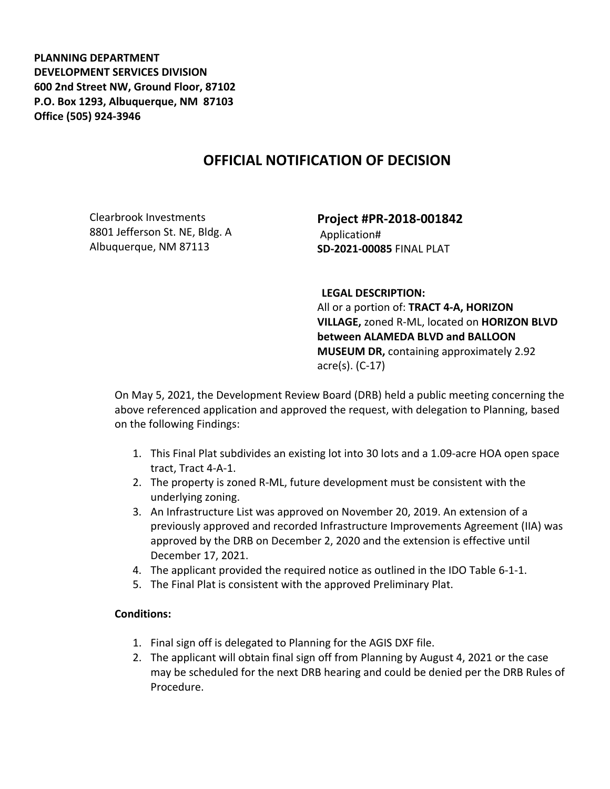**PLANNING DEPARTMENT DEVELOPMENT SERVICES DIVISION 600 2nd Street NW, Ground Floor, 87102 P.O. Box 1293, Albuquerque, NM 87103 Office (505) 924-3946** 

## **OFFICIAL NOTIFICATION OF DECISION**

Clearbrook Investments 8801 Jefferson St. NE, Bldg. A Albuquerque, NM 87113

**Project #PR-2018-001842** Application# **SD-2021-00085** FINAL PLAT

**LEGAL DESCRIPTION:**

All or a portion of: **TRACT 4-A, HORIZON VILLAGE,** zoned R-ML, located on **HORIZON BLVD between ALAMEDA BLVD and BALLOON MUSEUM DR,** containing approximately 2.92 acre(s). (C-17)

On May 5, 2021, the Development Review Board (DRB) held a public meeting concerning the above referenced application and approved the request, with delegation to Planning, based on the following Findings:

- 1. This Final Plat subdivides an existing lot into 30 lots and a 1.09-acre HOA open space tract, Tract 4-A-1.
- 2. The property is zoned R-ML, future development must be consistent with the underlying zoning.
- 3. An Infrastructure List was approved on November 20, 2019. An extension of a previously approved and recorded Infrastructure Improvements Agreement (IIA) was approved by the DRB on December 2, 2020 and the extension is effective until December 17, 2021.
- 4. The applicant provided the required notice as outlined in the IDO Table 6-1-1.
- 5. The Final Plat is consistent with the approved Preliminary Plat.

## **Conditions:**

- 1. Final sign off is delegated to Planning for the AGIS DXF file.
- 2. The applicant will obtain final sign off from Planning by August 4, 2021 or the case may be scheduled for the next DRB hearing and could be denied per the DRB Rules of Procedure.